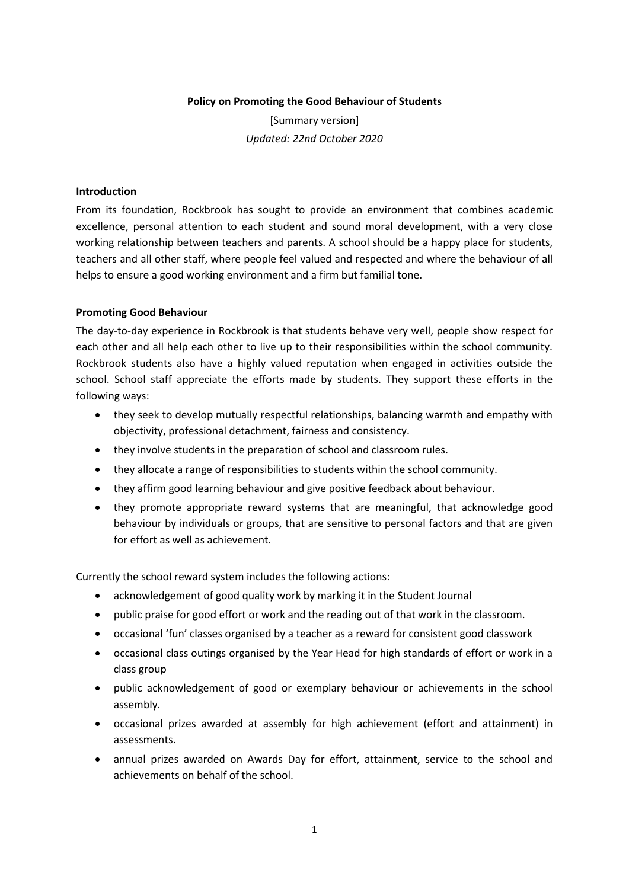## **Policy on Promoting the Good Behaviour of Students**

[Summary version] *Updated: 22nd October 2020*

## **Introduction**

From its foundation, Rockbrook has sought to provide an environment that combines academic excellence, personal attention to each student and sound moral development, with a very close working relationship between teachers and parents. A school should be a happy place for students, teachers and all other staff, where people feel valued and respected and where the behaviour of all helps to ensure a good working environment and a firm but familial tone.

## **Promoting Good Behaviour**

The day-to-day experience in Rockbrook is that students behave very well, people show respect for each other and all help each other to live up to their responsibilities within the school community. Rockbrook students also have a highly valued reputation when engaged in activities outside the school. School staff appreciate the efforts made by students. They support these efforts in the following ways:

- they seek to develop mutually respectful relationships, balancing warmth and empathy with objectivity, professional detachment, fairness and consistency.
- they involve students in the preparation of school and classroom rules.
- they allocate a range of responsibilities to students within the school community.
- they affirm good learning behaviour and give positive feedback about behaviour.
- they promote appropriate reward systems that are meaningful, that acknowledge good behaviour by individuals or groups, that are sensitive to personal factors and that are given for effort as well as achievement.

Currently the school reward system includes the following actions:

- acknowledgement of good quality work by marking it in the Student Journal
- public praise for good effort or work and the reading out of that work in the classroom.
- occasional 'fun' classes organised by a teacher as a reward for consistent good classwork
- occasional class outings organised by the Year Head for high standards of effort or work in a class group
- public acknowledgement of good or exemplary behaviour or achievements in the school assembly.
- occasional prizes awarded at assembly for high achievement (effort and attainment) in assessments.
- annual prizes awarded on Awards Day for effort, attainment, service to the school and achievements on behalf of the school.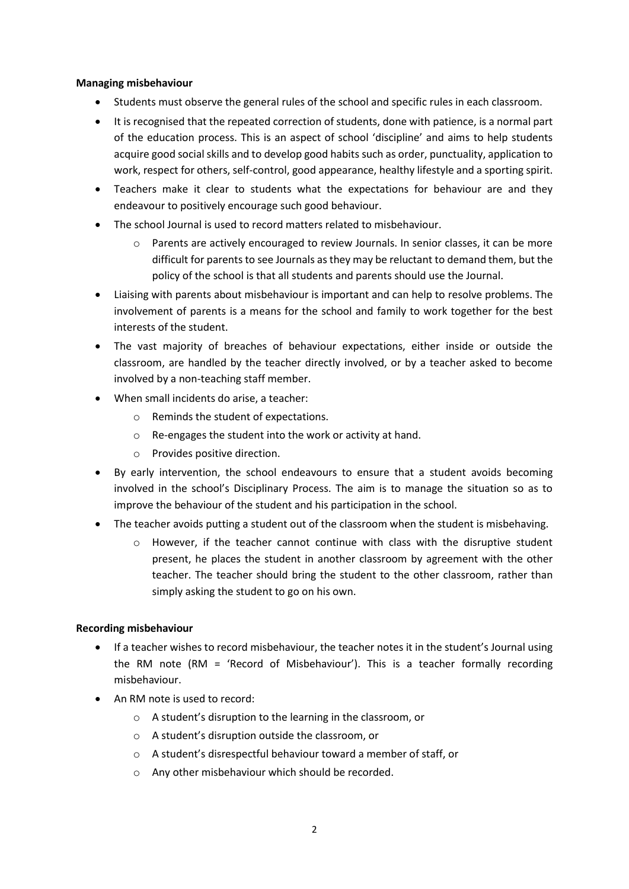## **Managing misbehaviour**

- Students must observe the general rules of the school and specific rules in each classroom.
- It is recognised that the repeated correction of students, done with patience, is a normal part of the education process. This is an aspect of school 'discipline' and aims to help students acquire good social skills and to develop good habits such as order, punctuality, application to work, respect for others, self-control, good appearance, healthy lifestyle and a sporting spirit.
- Teachers make it clear to students what the expectations for behaviour are and they endeavour to positively encourage such good behaviour.
- The school Journal is used to record matters related to misbehaviour.
	- o Parents are actively encouraged to review Journals. In senior classes, it can be more difficult for parents to see Journals as they may be reluctant to demand them, but the policy of the school is that all students and parents should use the Journal.
- Liaising with parents about misbehaviour is important and can help to resolve problems. The involvement of parents is a means for the school and family to work together for the best interests of the student.
- The vast majority of breaches of behaviour expectations, either inside or outside the classroom, are handled by the teacher directly involved, or by a teacher asked to become involved by a non-teaching staff member.
- When small incidents do arise, a teacher:
	- o Reminds the student of expectations.
	- o Re-engages the student into the work or activity at hand.
	- o Provides positive direction.
- By early intervention, the school endeavours to ensure that a student avoids becoming involved in the school's Disciplinary Process. The aim is to manage the situation so as to improve the behaviour of the student and his participation in the school.
- The teacher avoids putting a student out of the classroom when the student is misbehaving.
	- $\circ$  However, if the teacher cannot continue with class with the disruptive student present, he places the student in another classroom by agreement with the other teacher. The teacher should bring the student to the other classroom, rather than simply asking the student to go on his own.

# **Recording misbehaviour**

- If a teacher wishes to record misbehaviour, the teacher notes it in the student's Journal using the RM note (RM = 'Record of Misbehaviour'). This is a teacher formally recording misbehaviour.
- An RM note is used to record:
	- o A student's disruption to the learning in the classroom, or
	- o A student's disruption outside the classroom, or
	- o A student's disrespectful behaviour toward a member of staff, or
	- o Any other misbehaviour which should be recorded.